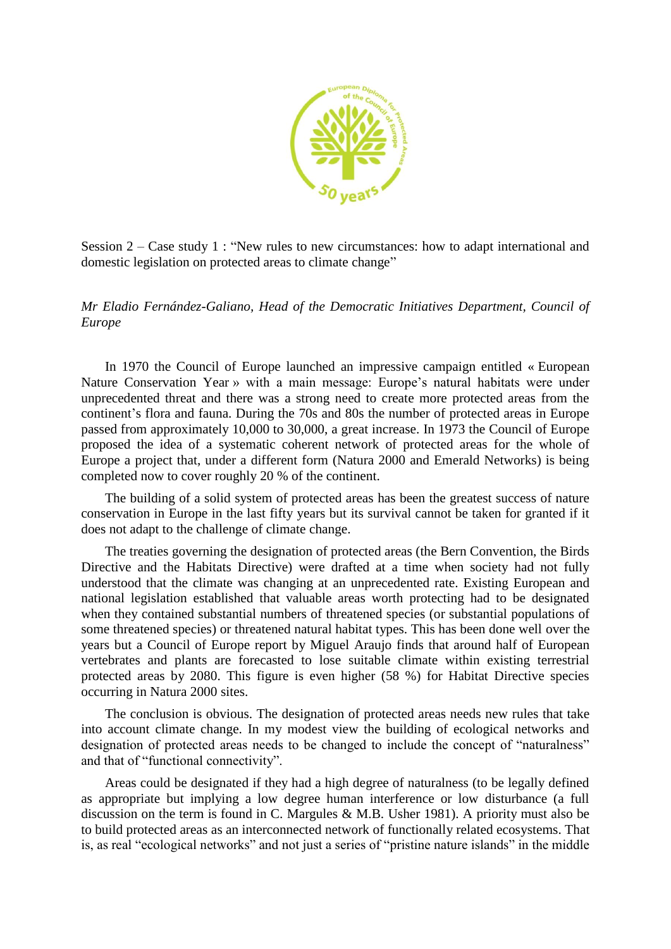

Session 2 – Case study 1 : "New rules to new circumstances: how to adapt international and domestic legislation on protected areas to climate change"

*Mr Eladio Fernández-Galiano, Head of the Democratic Initiatives Department, Council of Europe*

In 1970 the Council of Europe launched an impressive campaign entitled « European Nature Conservation Year » with a main message: Europe's natural habitats were under unprecedented threat and there was a strong need to create more protected areas from the continent's flora and fauna. During the 70s and 80s the number of protected areas in Europe passed from approximately 10,000 to 30,000, a great increase. In 1973 the Council of Europe proposed the idea of a systematic coherent network of protected areas for the whole of Europe a project that, under a different form (Natura 2000 and Emerald Networks) is being completed now to cover roughly 20 % of the continent.

The building of a solid system of protected areas has been the greatest success of nature conservation in Europe in the last fifty years but its survival cannot be taken for granted if it does not adapt to the challenge of climate change.

The treaties governing the designation of protected areas (the Bern Convention, the Birds Directive and the Habitats Directive) were drafted at a time when society had not fully understood that the climate was changing at an unprecedented rate. Existing European and national legislation established that valuable areas worth protecting had to be designated when they contained substantial numbers of threatened species (or substantial populations of some threatened species) or threatened natural habitat types. This has been done well over the years but a Council of Europe report by Miguel Araujo finds that around half of European vertebrates and plants are forecasted to lose suitable climate within existing terrestrial protected areas by 2080. This figure is even higher (58 %) for Habitat Directive species occurring in Natura 2000 sites.

The conclusion is obvious. The designation of protected areas needs new rules that take into account climate change. In my modest view the building of ecological networks and designation of protected areas needs to be changed to include the concept of "naturalness" and that of "functional connectivity".

Areas could be designated if they had a high degree of naturalness (to be legally defined as appropriate but implying a low degree human interference or low disturbance (a full discussion on the term is found in C. Margules & M.B. Usher 1981). A priority must also be to build protected areas as an interconnected network of functionally related ecosystems. That is, as real "ecological networks" and not just a series of "pristine nature islands" in the middle